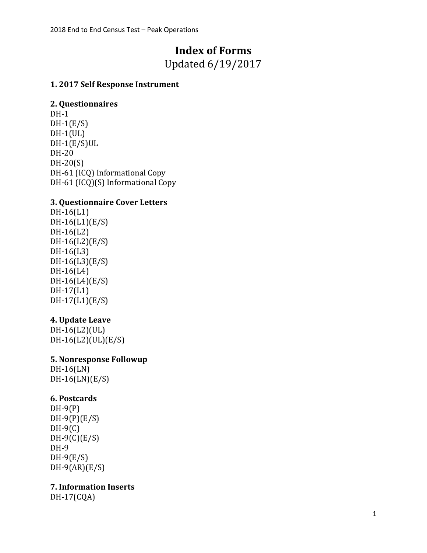# **Index of Forms**

Updated 6/19/2017

## **1. 2017 Self Response Instrument**

#### **2. Questionnaires**

DH-1  $DH-1(E/S)$  $DH-1(UL)$ DH-1(E/S)UL DH-20 DH-20(S) DH-61 (ICQ) Informational Copy DH-61 (ICQ)(S) Informational Copy

# **3. Questionnaire Cover Letters**

DH-16(L1) DH-16(L1)(E/S) DH-16(L2) DH-16(L2)(E/S) DH-16(L3) DH-16(L3)(E/S) DH-16(L4) DH-16(L4)(E/S) DH-17(L1) DH-17(L1)(E/S)

# **4. Update Leave**

DH-16(L2)(UL) DH-16(L2)(UL)(E/S)

#### **5. Nonresponse Followup**

DH-16(LN) DH-16(LN)(E/S)

#### **6. Postcards**

DH-9(P)  $DH-9(P)(E/S)$  $DH-9(C)$  $DH-9(C)(E/S)$ DH-9 DH-9(E/S)  $DH-9(AR)(E/S)$ 

**7. Information Inserts**

DH-17(CQA)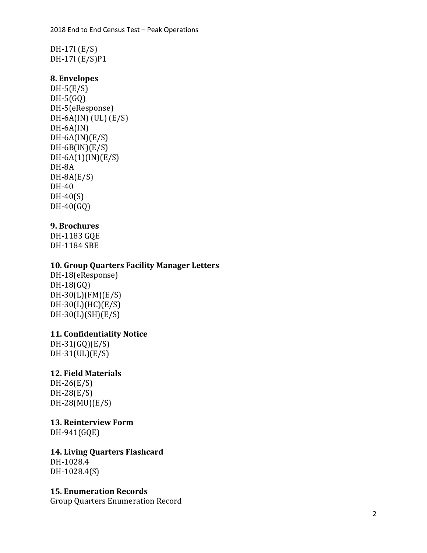DH -17I (E/S) DH -17I (E/S)P1

#### **8. Envelopes**

 $DH-5(E/S)$ DH -5(GQ) DH -5(eResponse) DH -6A(IN) (UL) (E/S) DH-6A(IN) DH -6A(IN)(E/S) DH -6B(IN)(E/S) DH -6A(1)(IN)(E/S) DH -8A DH -8A(E/S) DH-40 DH -40(S) DH -40(GQ )

## **9. Brochure s**

DH -1183 GQE DH -1184 SBE

#### **10. Group Quarters Facility Manager Letter s**

DH -18(eResponse) DH -18(GQ) DH -30(L)(FM)(E/S) DH -30(L)(HC)(E/S) DH -30(L)(SH)(E/S)

#### **11. Confidentiality Notice**

DH -31(GQ)(E/S) DH -31(UL)(E/S)

#### **1 2. Field Materials**

DH -26(E/S) DH -28(E/S) DH -28(MU)(E/S)

#### **1 3. Reinterview Form**

DH -941(GQE)

**1 4. Living Quarters Flashcard** DH -1028.4

DH -1028.4(S)

#### **1 5. Enumeration Records**

Group Quarters Enumeration Record